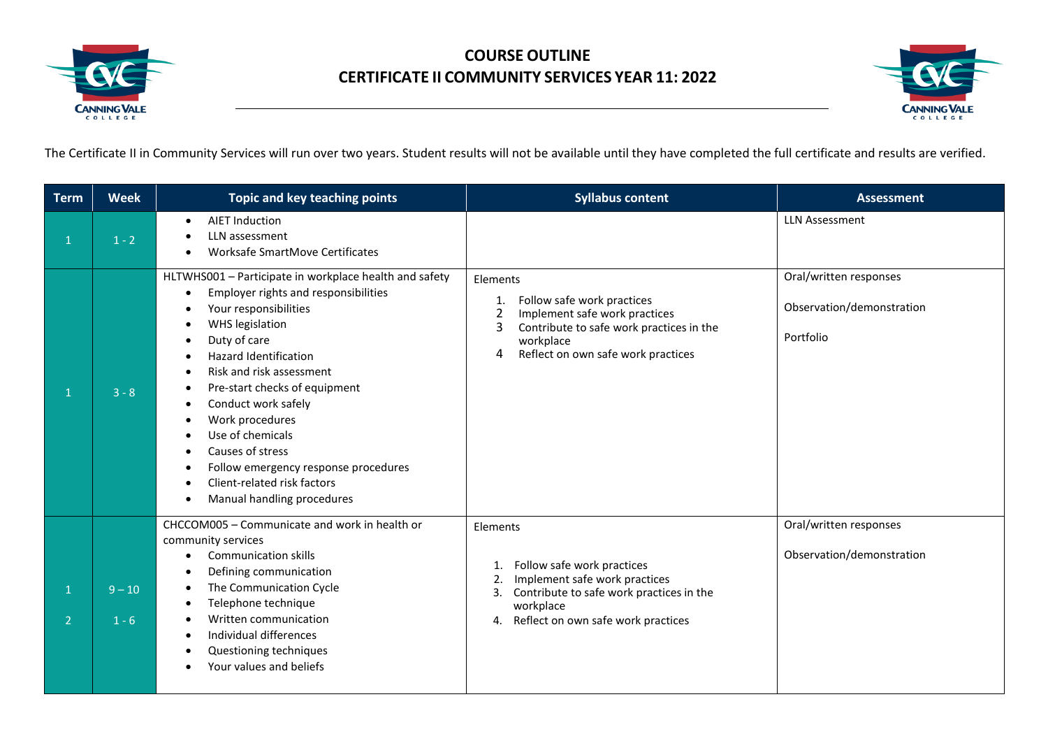

## **COURSE OUTLINE CERTIFICATE II COMMUNITY SERVICES YEAR 11: 2022**



The Certificate II in Community Services will run over two years. Student results will not be available until they have completed the full certificate and results are verified.

| <b>Term</b>   | <b>Week</b>         | Topic and key teaching points                                                                                                                                                                                                                                                                                                                                                                                                                               | <b>Syllabus content</b>                                                                                                                                                                                  | <b>Assessment</b>                                                |
|---------------|---------------------|-------------------------------------------------------------------------------------------------------------------------------------------------------------------------------------------------------------------------------------------------------------------------------------------------------------------------------------------------------------------------------------------------------------------------------------------------------------|----------------------------------------------------------------------------------------------------------------------------------------------------------------------------------------------------------|------------------------------------------------------------------|
|               | $1 - 2$             | <b>AIET Induction</b><br>$\bullet$<br>LLN assessment<br>Worksafe SmartMove Certificates                                                                                                                                                                                                                                                                                                                                                                     |                                                                                                                                                                                                          | <b>LLN Assessment</b>                                            |
|               | $3 - 8$             | HLTWHS001 - Participate in workplace health and safety<br>Employer rights and responsibilities<br>Your responsibilities<br>WHS legislation<br>Duty of care<br><b>Hazard Identification</b><br>Risk and risk assessment<br>Pre-start checks of equipment<br>Conduct work safely<br>$\bullet$<br>Work procedures<br>Use of chemicals<br>Causes of stress<br>Follow emergency response procedures<br>Client-related risk factors<br>Manual handling procedures | Elements<br>Follow safe work practices<br>1.<br>$\overline{2}$<br>Implement safe work practices<br>3<br>Contribute to safe work practices in the<br>workplace<br>Reflect on own safe work practices<br>4 | Oral/written responses<br>Observation/demonstration<br>Portfolio |
| $\mathcal{P}$ | $9 - 10$<br>$1 - 6$ | CHCCOM005 - Communicate and work in health or<br>community services<br><b>Communication skills</b><br>٠<br>Defining communication<br>The Communication Cycle<br>Telephone technique<br>٠<br>Written communication<br>Individual differences<br>Questioning techniques<br>Your values and beliefs                                                                                                                                                            | Elements<br>Follow safe work practices<br>1.<br>Implement safe work practices<br>2.<br>Contribute to safe work practices in the<br>3.<br>workplace<br>Reflect on own safe work practices<br>4.           | Oral/written responses<br>Observation/demonstration              |